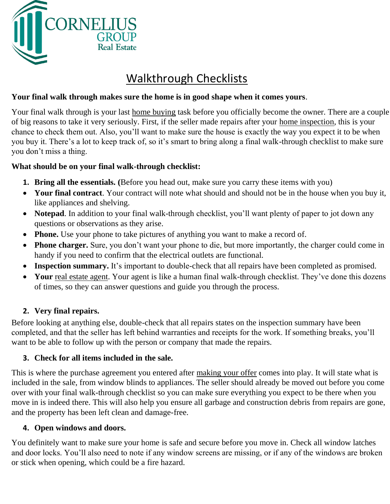

# Walkthrough Checklists

# **Your final walk through makes sure the home is in good shape when it comes yours**.

Your final walk through is your last home buying task before you officially become the owner. There are a couple of big reasons to take it very seriously. First, if the seller made repairs after your home inspection, this is your chance to check them out. Also, you'll want to make sure the house is exactly the way you expect it to be when you buy it. There's a lot to keep track of, so it's smart to bring along a final walk-through checklist to make sure you don't miss a thing.

# **What should be on your final walk-through checklist:**

- **1. Bring all the essentials. (**Before you head out, make sure you carry these items with you)
- **Your final contract**. Your contract will note what should and should not be in the house when you buy it, like appliances and shelving.
- **Notepad**. In addition to your final walk-through checklist, you'll want plenty of paper to jot down any questions or observations as they arise.
- **Phone.** Use your phone to take pictures of anything you want to make a record of.
- **Phone charger.** Sure, you don't want your phone to die, but more importantly, the charger could come in handy if you need to confirm that the electrical outlets are functional.
- **Inspection summary.** It's important to double-check that all repairs have been completed as promised.
- Your real estate agent. Your agent is like a human final walk-through checklist. They've done this dozens of times, so they can answer questions and guide you through the process.

# **2. Very final repairs.**

Before looking at anything else, double-check that all repairs states on the inspection summary have been completed, and that the seller has left behind warranties and receipts for the work. If something breaks, you'll want to be able to follow up with the person or company that made the repairs.

# **3. Check for all items included in the sale.**

This is where the purchase agreement you entered after making your offer comes into play. It will state what is included in the sale, from window blinds to appliances. The seller should already be moved out before you come over with your final walk-through checklist so you can make sure everything you expect to be there when you move in is indeed there. This will also help you ensure all garbage and construction debris from repairs are gone, and the property has been left clean and damage-free.

# **4. Open windows and doors.**

You definitely want to make sure your home is safe and secure before you move in. Check all window latches and door locks. You'll also need to note if any window screens are missing, or if any of the windows are broken or stick when opening, which could be a fire hazard.